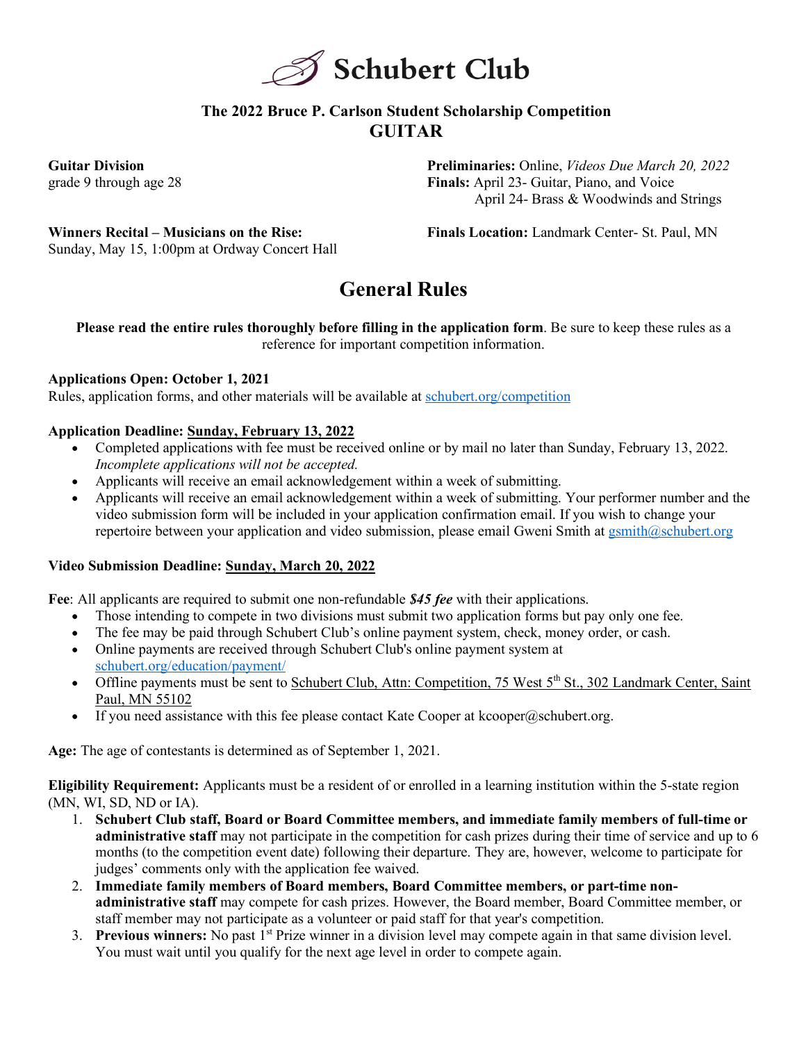

## **The 2022 Bruce P. Carlson Student Scholarship Competition GUITAR**

**Guitar Division** grade 9 through age 28 **Preliminaries:** Online, *Videos Due March 20, 2022* **Finals:** April 23- Guitar, Piano, and Voice April 24- Brass & Woodwinds and Strings

**Winners Recital – Musicians on the Rise:**  Sunday, May 15, 1:00pm at Ordway Concert Hall **Finals Location:** Landmark Center- St. Paul, MN

# **General Rules**

**Please read the entire rules thoroughly before filling in the application form**. Be sure to keep these rules as a reference for important competition information.

### **Applications Open: October 1, 2021**

Rules, application forms, and other materials will be available at schubert.org/competition

### **Application Deadline: Sunday, February 13, 2022**

- Completed applications with fee must be received online or by mail no later than Sunday, February 13, 2022. *Incomplete applications will not be accepted.*
- Applicants will receive an email acknowledgement within a week of submitting.
- Applicants will receive an email acknowledgement within a week of submitting. Your performer number and the video submission form will be included in your application confirmation email. If you wish to change your repertoire between your application and video submission, please email Gweni Smith at gsmith@schubert.org

### **Video Submission Deadline: Sunday, March 20, 2022**

**Fee**: All applicants are required to submit one non-refundable *\$45 fee* with their applications.

- Those intending to compete in two divisions must submit two application forms but pay only one fee.
- The fee may be paid through Schubert Club's online payment system, check, money order, or cash.
- Online payments are received through Schubert Club's online payment system at schubert.org/education/payment/
- Offline payments must be sent to Schubert Club, Attn: Competition, 75 West  $5<sup>th</sup>$  St., 302 Landmark Center, Saint Paul, MN 55102
- If you need assistance with this fee please contact Kate Cooper at kcooper@schubert.org.

**Age:** The age of contestants is determined as of September 1, 2021.

**Eligibility Requirement:** Applicants must be a resident of or enrolled in a learning institution within the 5-state region (MN, WI, SD, ND or IA).

- 1. **Schubert Club staff, Board or Board Committee members, and immediate family members of full-time or administrative staff** may not participate in the competition for cash prizes during their time of service and up to 6 months (to the competition event date) following their departure. They are, however, welcome to participate for judges' comments only with the application fee waived.
- 2. **Immediate family members of Board members, Board Committee members, or part-time nonadministrative staff** may compete for cash prizes. However, the Board member, Board Committee member, or staff member may not participate as a volunteer or paid staff for that year's competition.
- 3. **Previous winners:** No past 1st Prize winner in a division level may compete again in that same division level. You must wait until you qualify for the next age level in order to compete again.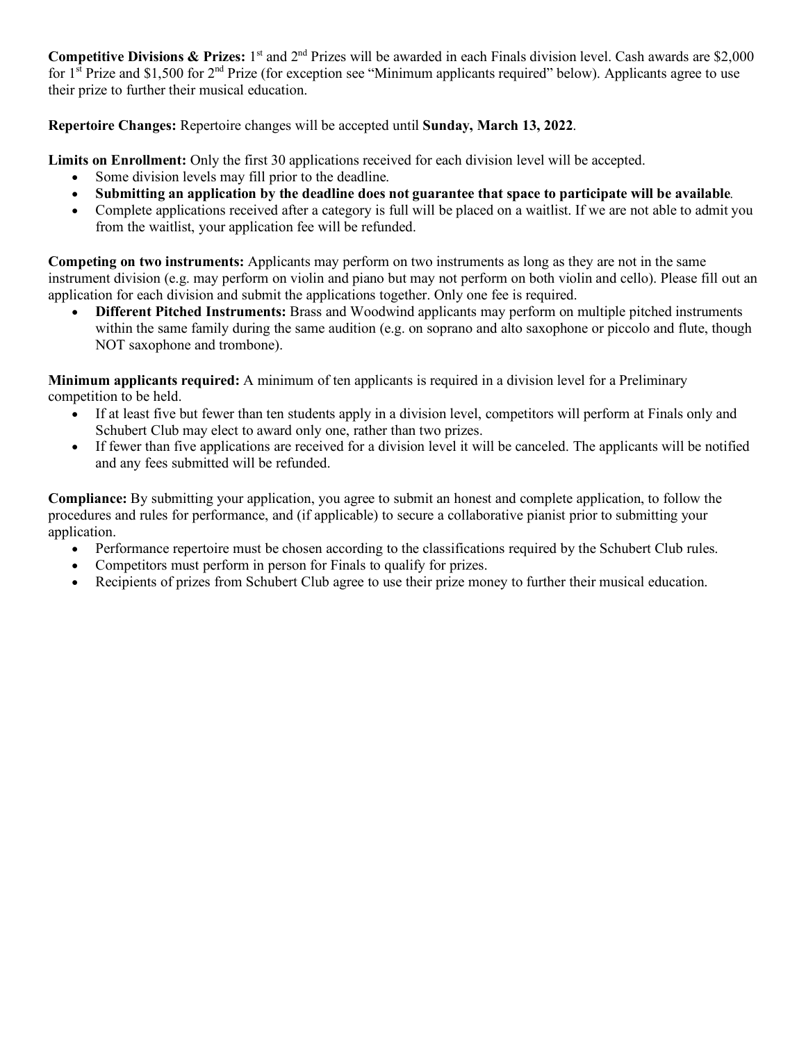**Competitive Divisions & Prizes:** 1<sup>st</sup> and 2<sup>nd</sup> Prizes will be awarded in each Finals division level. Cash awards are \$2,000 for  $1^{\text{st}}$  Prize and \$1,500 for  $2^{\text{nd}}$  Prize (for exception see "Minimum applicants required" below). Applicants agree to use their prize to further their musical education.

**Repertoire Changes:** Repertoire changes will be accepted until **Sunday, March 13, 2022**.

**Limits on Enrollment:** Only the first 30 applications received for each division level will be accepted.

- Some division levels may fill prior to the deadline.
- **Submitting an application by the deadline does not guarantee that space to participate will be available***.*
- Complete applications received after a category is full will be placed on a waitlist. If we are not able to admit you from the waitlist, your application fee will be refunded.

**Competing on two instruments:** Applicants may perform on two instruments as long as they are not in the same instrument division (e.g. may perform on violin and piano but may not perform on both violin and cello). Please fill out an application for each division and submit the applications together. Only one fee is required.

• **Different Pitched Instruments:** Brass and Woodwind applicants may perform on multiple pitched instruments within the same family during the same audition (e.g. on soprano and alto saxophone or piccolo and flute, though NOT saxophone and trombone).

**Minimum applicants required:** A minimum of ten applicants is required in a division level for a Preliminary competition to be held.

- If at least five but fewer than ten students apply in a division level, competitors will perform at Finals only and Schubert Club may elect to award only one, rather than two prizes.
- If fewer than five applications are received for a division level it will be canceled. The applicants will be notified and any fees submitted will be refunded.

**Compliance:** By submitting your application, you agree to submit an honest and complete application, to follow the procedures and rules for performance, and (if applicable) to secure a collaborative pianist prior to submitting your application.

- Performance repertoire must be chosen according to the classifications required by the Schubert Club rules.
- Competitors must perform in person for Finals to qualify for prizes.
- Recipients of prizes from Schubert Club agree to use their prize money to further their musical education.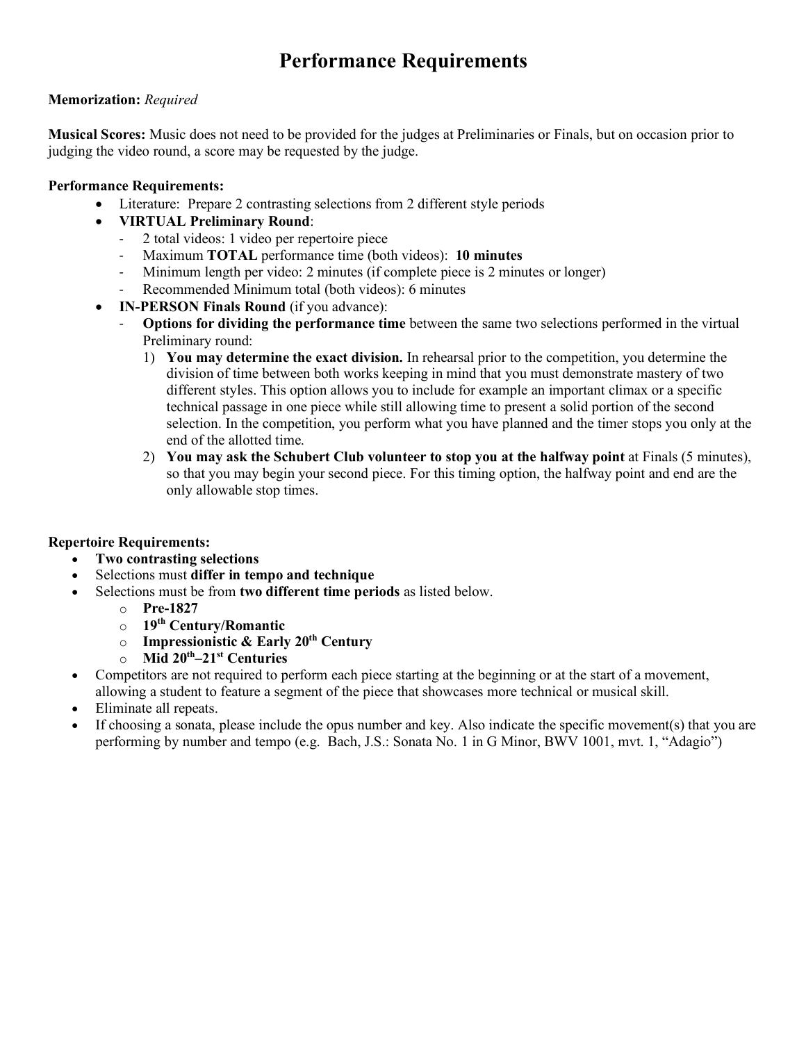## **Performance Requirements**

#### **Memorization:** *Required*

**Musical Scores:** Music does not need to be provided for the judges at Preliminaries or Finals, but on occasion prior to judging the video round, a score may be requested by the judge.

#### **Performance Requirements:**

- Literature: Prepare 2 contrasting selections from 2 different style periods
- **VIRTUAL Preliminary Round**:
	- 2 total videos: 1 video per repertoire piece
	- Maximum **TOTAL** performance time (both videos): **10 minutes**
	- Minimum length per video: 2 minutes (if complete piece is 2 minutes or longer)
	- Recommended Minimum total (both videos): 6 minutes
- **IN-PERSON Finals Round** (if you advance):
	- **Options for dividing the performance time** between the same two selections performed in the virtual Preliminary round:
		- 1) **You may determine the exact division.** In rehearsal prior to the competition, you determine the division of time between both works keeping in mind that you must demonstrate mastery of two different styles. This option allows you to include for example an important climax or a specific technical passage in one piece while still allowing time to present a solid portion of the second selection. In the competition, you perform what you have planned and the timer stops you only at the end of the allotted time.
		- 2) **You may ask the Schubert Club volunteer to stop you at the halfway point** at Finals (5 minutes), so that you may begin your second piece. For this timing option, the halfway point and end are the only allowable stop times.

#### **Repertoire Requirements:**

- **Two contrasting selections**
- Selections must **differ in tempo and technique**
- Selections must be from **two different time periods** as listed below.
	- o **Pre-1827**
	- o **19th Century/Romantic**
	- o **Impressionistic & Early 20th Century**
	- o **Mid 20th–21st Centuries**
- Competitors are not required to perform each piece starting at the beginning or at the start of a movement, allowing a student to feature a segment of the piece that showcases more technical or musical skill.
- Eliminate all repeats.
- If choosing a sonata, please include the opus number and key. Also indicate the specific movement(s) that you are performing by number and tempo (e.g. Bach, J.S.: Sonata No. 1 in G Minor, BWV 1001, mvt. 1, "Adagio")